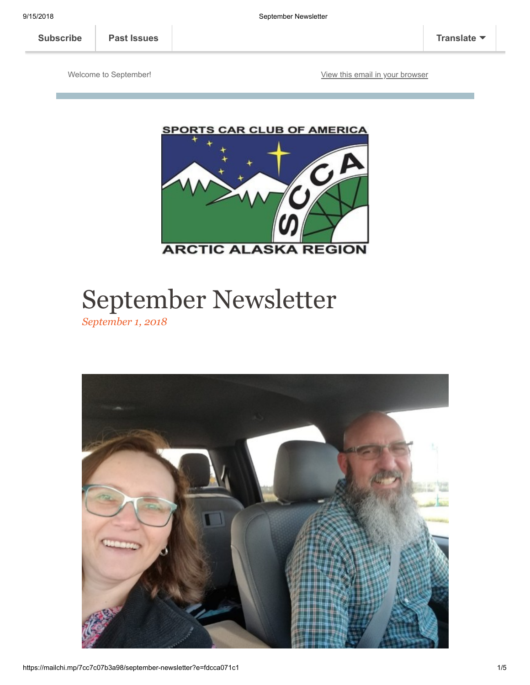Welcome to September! The Community of the [View this email in your browser](https://mailchi.mp/7cc7c07b3a98/september-newsletter?e=fdcca071c1)



# September Newsletter

*September 1, 2018*

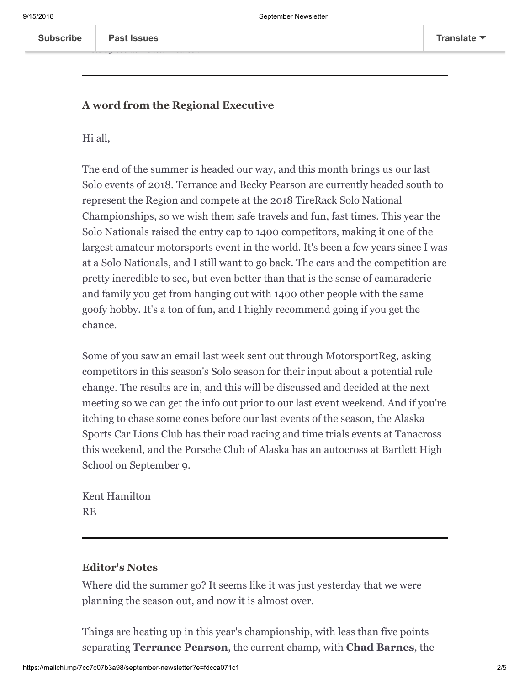*Photo by Cookie Monster Pearson*

## **A word from the Regional Executive**

Hi all,

The end of the summer is headed our way, and this month brings us our last Solo events of 2018. Terrance and Becky Pearson are currently headed south to represent the Region and compete at the 2018 TireRack Solo National Championships, so we wish them safe travels and fun, fast times. This year the Solo Nationals raised the entry cap to 1400 competitors, making it one of the largest amateur motorsports event in the world. It's been a few years since I was at a Solo Nationals, and I still want to go back. The cars and the competition are pretty incredible to see, but even better than that is the sense of camaraderie and family you get from hanging out with 1400 other people with the same goofy hobby. It's a ton of fun, and I highly recommend going if you get the chance.

Some of you saw an email last week sent out through MotorsportReg, asking competitors in this season's Solo season for their input about a potential rule change. The results are in, and this will be discussed and decided at the next meeting so we can get the info out prior to our last event weekend. And if you're itching to chase some cones before our last events of the season, the Alaska Sports Car Lions Club has their road racing and time trials events at Tanacross this weekend, and the Porsche Club of Alaska has an autocross at Bartlett High School on September 9.

Kent Hamilton RE

## **Editor's Notes**

Where did the summer go? It seems like it was just yesterday that we were planning the season out, and now it is almost over.

Things are heating up in this year's championship, with less than five points separating **Terrance Pearson**, the current champ, with **Chad Barnes**, the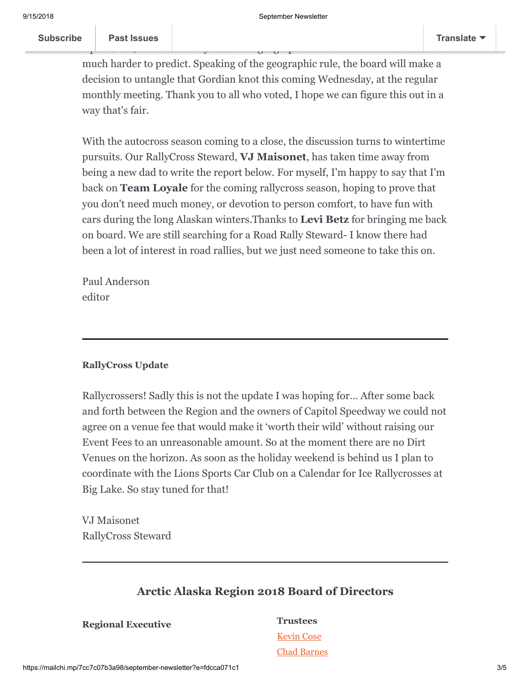much harder to predict. Speaking of the geographic rule, the board will make a decision to untangle that Gordian knot this coming Wednesday, at the regular monthly meeting. Thank you to all who voted, I hope we can figure this out in a way that's fair.

Open Class, but uncertainty about the geographic rule make that class' outcome

cu[rrent points leade](https://us16.campaign-archive.com/home/?u=319895ea507374e1f06a6b74b&id=37bb9b9bfb)r in Expert Class. **Post Leader in Expert Class. In Expert** Class. **Points is currently leading in Expert** Class. **A** 

With the autocross season coming to a close, the discussion turns to wintertime pursuits. Our RallyCross Steward, **VJ Maisonet**, has taken time away from being a new dad to write the report below. For myself, I'm happy to say that I'm back on **Team Loyale** for the coming rallycross season, hoping to prove that you don't need much money, or devotion to person comfort, to have fun with cars during the long Alaskan winters.Thanks to **Levi Betz** for bringing me back on board. We are still searching for a Road Rally Steward- I know there had been a lot of interest in road rallies, but we just need someone to take this on.

Paul Anderson editor

#### **RallyCross Update**

Rallycrossers! Sadly this is not the update I was hoping for… After some back and forth between the Region and the owners of Capitol Speedway we could not agree on a venue fee that would make it 'worth their wild' without raising our Event Fees to an unreasonable amount. So at the moment there are no Dirt Venues on the horizon. As soon as the holiday weekend is behind us I plan to coordinate with the Lions Sports Car Club on a Calendar for Ice Rallycrosses at Big Lake. So stay tuned for that!

VJ Maisonet RallyCross Steward

# **Arctic Alaska Region 2018 Board of Directors**

**Regional Executive Trustees**

[Kevin Cose](mailto:kcose@gci.net) [Chad Barnes](mailto:cebarnes@kent.edu)